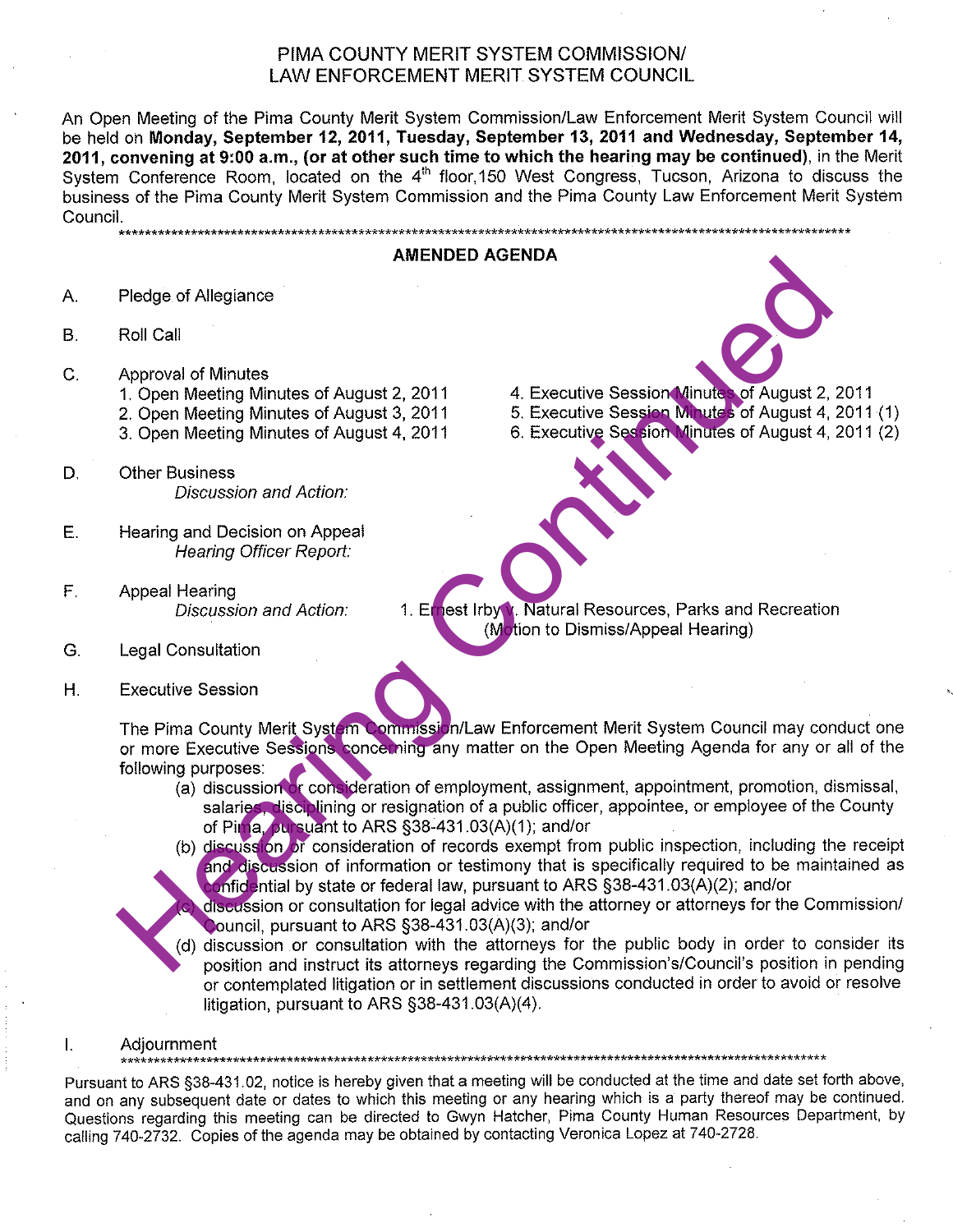## PIMA COUNTY MERIT SYSTEM COMMISSION/ LAW ENFORCEMENT MERIT SYSTEM COUNCIL

An Open Meeting of the Pima County Merit System Commission/Law Enforcement Merit System Council will be held on Monday, September 12, 2011, Tuesday, September 13, 2011 and Wednesday, September 14, 2011, convening at 9:00 a.m., (or at other such time to which the hearing may be continued), in the Merit System Conference Room, located on the 4<sup>th</sup> floor, 150 West Congress, Tucson, Arizona to discuss the business of the Pima County Merit System Commission and the Pima County Law Enforcement Merit System Council. 

- Α.
- **B.**
- $C_{\cdot}$ 
	-
	-
	-
- D.
- Е.
- F.

- G.
- Η.

Pledge of Allegiance<br>
Annual Continues of August 2, 2011<br>
1. Open Meeting Minutes of August 2, 2011<br>
1. Securitive Session Minutes of August 2, 2011<br>
2. Open Meeting Minutes of August 3, 2011<br>
3. Open Meeting Continues of

- 
- 

- litigation, pursuant to ARS  $\S$ 38-431.03(A)(4).
- $\mathsf{L}$ Adjournment

Pursuant to ARS §38-431.02, notice is hereby given that a meeting will be conducted at the time and date set forth above, and on any subsequent date or dates to which this meeting or any hearing which is a party thereof may be continued. Questions regarding this meeting can be directed to Gwyn Hatcher, Pima County Human Resources Department, by calling 740-2732. Copies of the agenda may be obtained by contacting Veronica Lopez at 740-2728.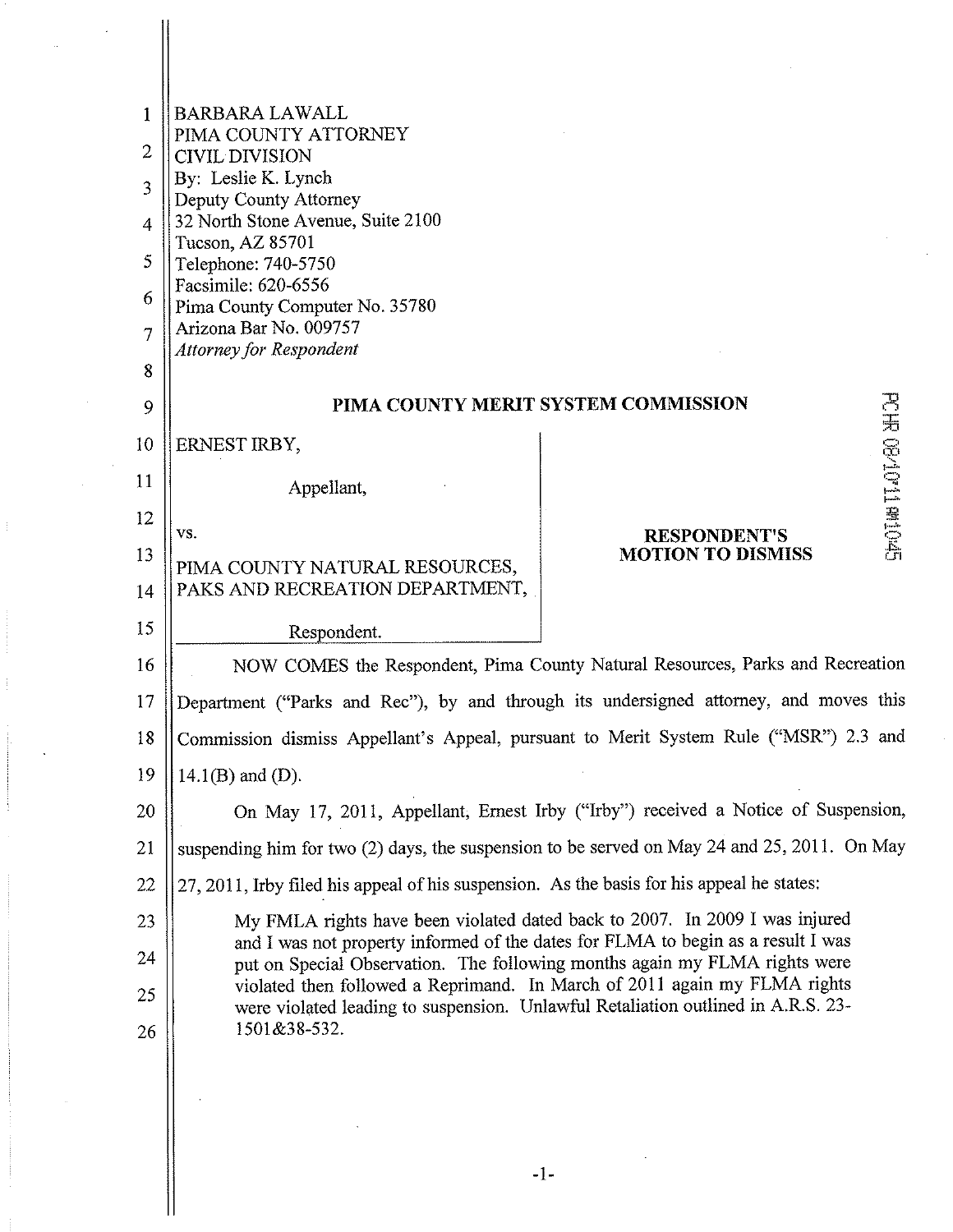| 1              | <b>BARBARA LAWALL</b>                                                                                                                                                                                                                                                                                                                           |                                                 |  |
|----------------|-------------------------------------------------------------------------------------------------------------------------------------------------------------------------------------------------------------------------------------------------------------------------------------------------------------------------------------------------|-------------------------------------------------|--|
| 2              | PIMA COUNTY ATTORNEY<br><b>CIVIL DIVISION</b>                                                                                                                                                                                                                                                                                                   |                                                 |  |
| 3              | By: Leslie K. Lynch<br>Deputy County Attorney                                                                                                                                                                                                                                                                                                   |                                                 |  |
| 4              | 32 North Stone Avenue, Suite 2100                                                                                                                                                                                                                                                                                                               |                                                 |  |
| 5              | Tucson, AZ 85701<br>Telephone: 740-5750                                                                                                                                                                                                                                                                                                         |                                                 |  |
| 6              | Facsimile: 620-6556<br>Pima County Computer No. 35780                                                                                                                                                                                                                                                                                           |                                                 |  |
| $\overline{7}$ | Arizona Bar No. 009757                                                                                                                                                                                                                                                                                                                          |                                                 |  |
| 8              | <b>Attorney for Respondent</b>                                                                                                                                                                                                                                                                                                                  |                                                 |  |
| 9              | <b>PCIA OP/CDIAGORDE</b><br>PIMA COUNTY MERIT SYSTEM COMMISSION                                                                                                                                                                                                                                                                                 |                                                 |  |
| 10             | ERNEST IRBY,                                                                                                                                                                                                                                                                                                                                    |                                                 |  |
| 11             | Appellant,                                                                                                                                                                                                                                                                                                                                      |                                                 |  |
| 12             | VS.                                                                                                                                                                                                                                                                                                                                             |                                                 |  |
| 13             | PIMA COUNTY NATURAL RESOURCES,                                                                                                                                                                                                                                                                                                                  | <b>RESPONDENT'S</b><br><b>MOTION TO DISMISS</b> |  |
| 14             | PAKS AND RECREATION DEPARTMENT,                                                                                                                                                                                                                                                                                                                 |                                                 |  |
| 15             | Respondent.                                                                                                                                                                                                                                                                                                                                     |                                                 |  |
| 16             | NOW COMES the Respondent, Pima County Natural Resources, Parks and Recreation                                                                                                                                                                                                                                                                   |                                                 |  |
| 17             | Department ("Parks and Rec"), by and through its undersigned attorney, and moves this                                                                                                                                                                                                                                                           |                                                 |  |
| 18             | Commission dismiss Appellant's Appeal, pursuant to Merit System Rule ("MSR") 2.3 and                                                                                                                                                                                                                                                            |                                                 |  |
| 19             | $14.1(B)$ and $(D)$ .                                                                                                                                                                                                                                                                                                                           |                                                 |  |
| 20             | On May 17, 2011, Appellant, Ernest Irby ("Irby") received a Notice of Suspension,                                                                                                                                                                                                                                                               |                                                 |  |
| 21             | suspending him for two (2) days, the suspension to be served on May 24 and 25, 2011. On May                                                                                                                                                                                                                                                     |                                                 |  |
| 22             | 27, 2011, Irby filed his appeal of his suspension. As the basis for his appeal he states:                                                                                                                                                                                                                                                       |                                                 |  |
| 23             | My FMLA rights have been violated dated back to 2007. In 2009 I was injured                                                                                                                                                                                                                                                                     |                                                 |  |
| 24             | and I was not property informed of the dates for FLMA to begin as a result I was<br>put on Special Observation. The following months again my FLMA rights were<br>violated then followed a Reprimand. In March of 2011 again my FLMA rights<br>were violated leading to suspension. Unlawful Retaliation outlined in A.R.S. 23-<br>1501&38-532. |                                                 |  |
| 25             |                                                                                                                                                                                                                                                                                                                                                 |                                                 |  |
| 26             |                                                                                                                                                                                                                                                                                                                                                 |                                                 |  |
|                |                                                                                                                                                                                                                                                                                                                                                 |                                                 |  |
|                |                                                                                                                                                                                                                                                                                                                                                 |                                                 |  |
|                |                                                                                                                                                                                                                                                                                                                                                 |                                                 |  |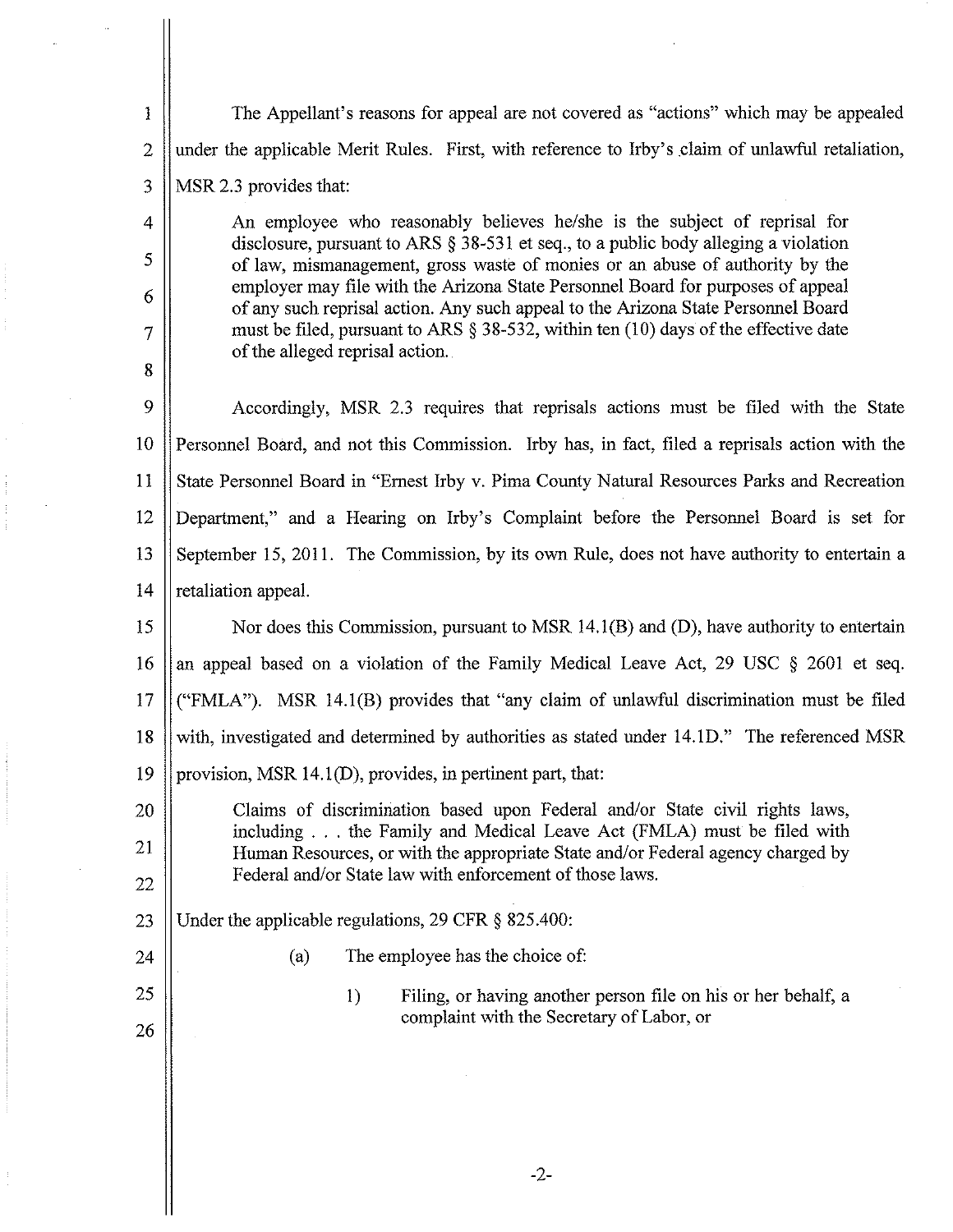The Appellant's reasons for appeal are not covered as "actions" which may be appealed 1 under the applicable Merit Rules. First, with reference to Irby's claim of unlawful retaliation,  $\overline{2}$ 3 MSR 2.3 provides that:  $\overline{4}$ An employee who reasonably believes he/she is the subject of reprisal for disclosure, pursuant to ARS  $\S$  38-531 et seq., to a public body alleging a violation 5 of law, mismanagement, gross waste of monies or an abuse of authority by the employer may file with the Arizona State Personnel Board for purposes of appeal 6 of any such reprisal action. Any such appeal to the Arizona State Personnel Board must be filed, pursuant to ARS  $\S$  38-532, within ten (10) days of the effective date  $\tau$ of the alleged reprisal action. 8 9 Accordingly, MSR 2.3 requires that reprisals actions must be filed with the State 10 Personnel Board, and not this Commission. Irby has, in fact, filed a reprisals action with the 11 State Personnel Board in "Ernest Irby v. Pima County Natural Resources Parks and Recreation Department," and a Hearing on Irby's Complaint before the Personnel Board is set for 12 September 15, 2011. The Commission, by its own Rule, does not have authority to entertain a 13 14 retaliation appeal. 15 Nor does this Commission, pursuant to MSR 14.1(B) and (D), have authority to entertain an appeal based on a violation of the Family Medical Leave Act, 29 USC § 2601 et seq. 16 ("FMLA"). MSR 14.1(B) provides that "any claim of unlawful discrimination must be filed 17 18 with, investigated and determined by authorities as stated under 14.1D." The referenced MSR provision, MSR 14.1(D), provides, in pertinent part, that: 19 Claims of discrimination based upon Federal and/or State civil rights laws, 20 including . . . the Family and Medical Leave Act (FMLA) must be filed with 21 Human Resources, or with the appropriate State and/or Federal agency charged by Federal and/or State law with enforcement of those laws. 22 Under the applicable regulations, 29 CFR  $\S$  825.400: 23 The employee has the choice of: 24  $(a)$ 25 Filing, or having another person file on his or her behalf, a  $1)$ complaint with the Secretary of Labor, or 26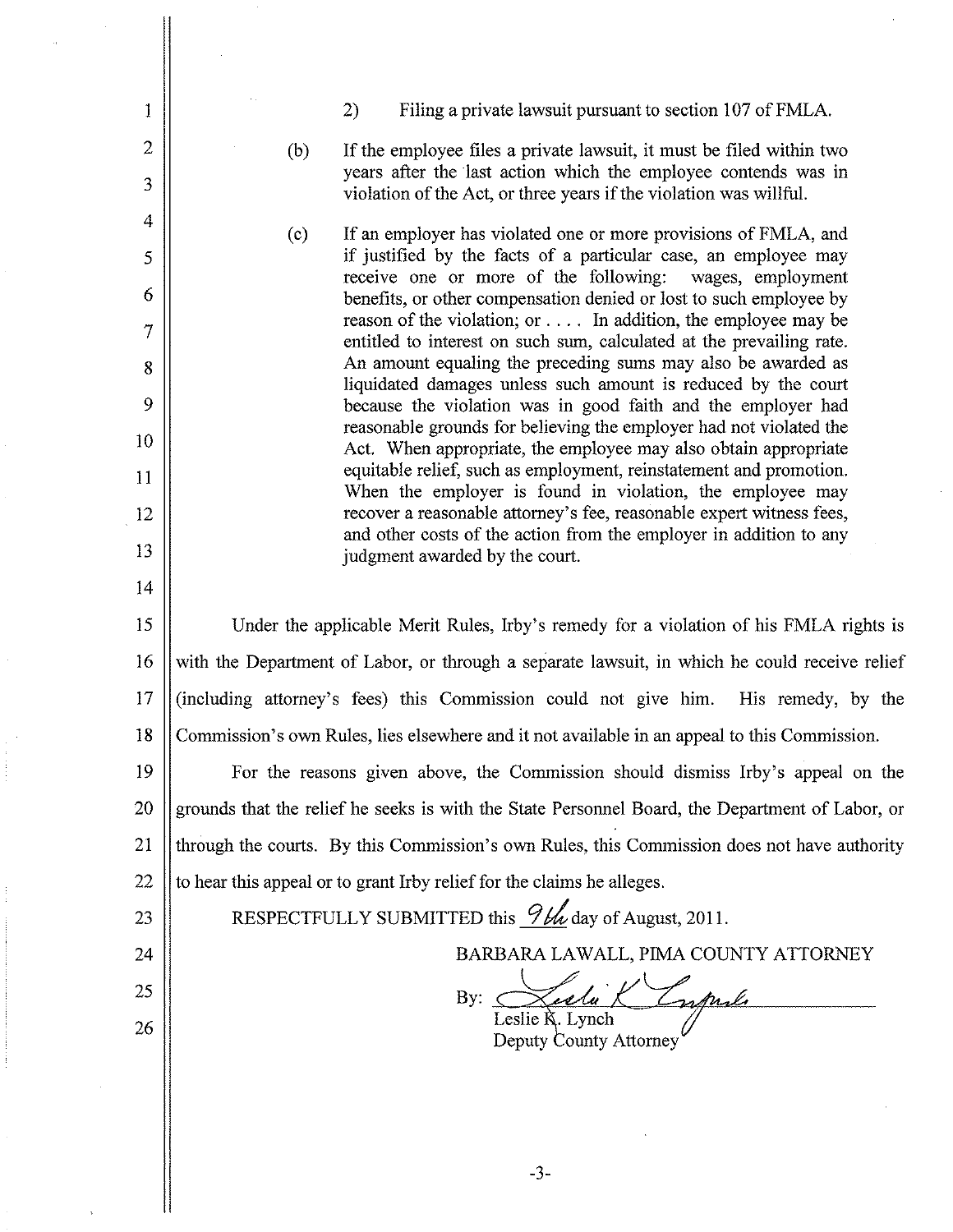$2)$ Filing a private lawsuit pursuant to section 107 of FMLA. 1  $\overline{2}$  $(b)$ If the employee files a private lawsuit, it must be filed within two years after the last action which the employee contends was in 3 violation of the Act, or three years if the violation was willful. 4 If an employer has violated one or more provisions of FMLA, and  $(c)$ if justified by the facts of a particular case, an employee may 5 receive one or more of the following: wages, employment 6 benefits, or other compensation denied or lost to such employee by reason of the violation; or  $\dots$  In addition, the employee may be  $\overline{7}$ entitled to interest on such sum, calculated at the prevailing rate. An amount equaling the preceding sums may also be awarded as 8 liquidated damages unless such amount is reduced by the court 9 because the violation was in good faith and the employer had reasonable grounds for believing the employer had not violated the 10 Act. When appropriate, the employee may also obtain appropriate equitable relief, such as employment, reinstatement and promotion. 11 When the employer is found in violation, the employee may recover a reasonable attorney's fee, reasonable expert witness fees, 12 and other costs of the action from the employer in addition to any 13 judgment awarded by the court. 14 15 Under the applicable Merit Rules, Irby's remedy for a violation of his FMLA rights is with the Department of Labor, or through a separate lawsuit, in which he could receive relief 16 17 (including attorney's fees) this Commission could not give him. His remedy, by the 18 Commission's own Rules, lies elsewhere and it not available in an appeal to this Commission. 19 For the reasons given above, the Commission should dismiss Irby's appeal on the 20 grounds that the relief he seeks is with the State Personnel Board, the Department of Labor, or through the courts. By this Commission's own Rules, this Commission does not have authority 21 to hear this appeal or to grant Irby relief for the claims he alleges. 22 RESPECTFULLY SUBMITTED this  $9$ the day of August, 2011. 23 BARBARA LAWALL, PIMA COUNTY ATTORNEY 24 25 zelu Typul  $By:$ Leslie R. Lynch Deputy County Attorney 26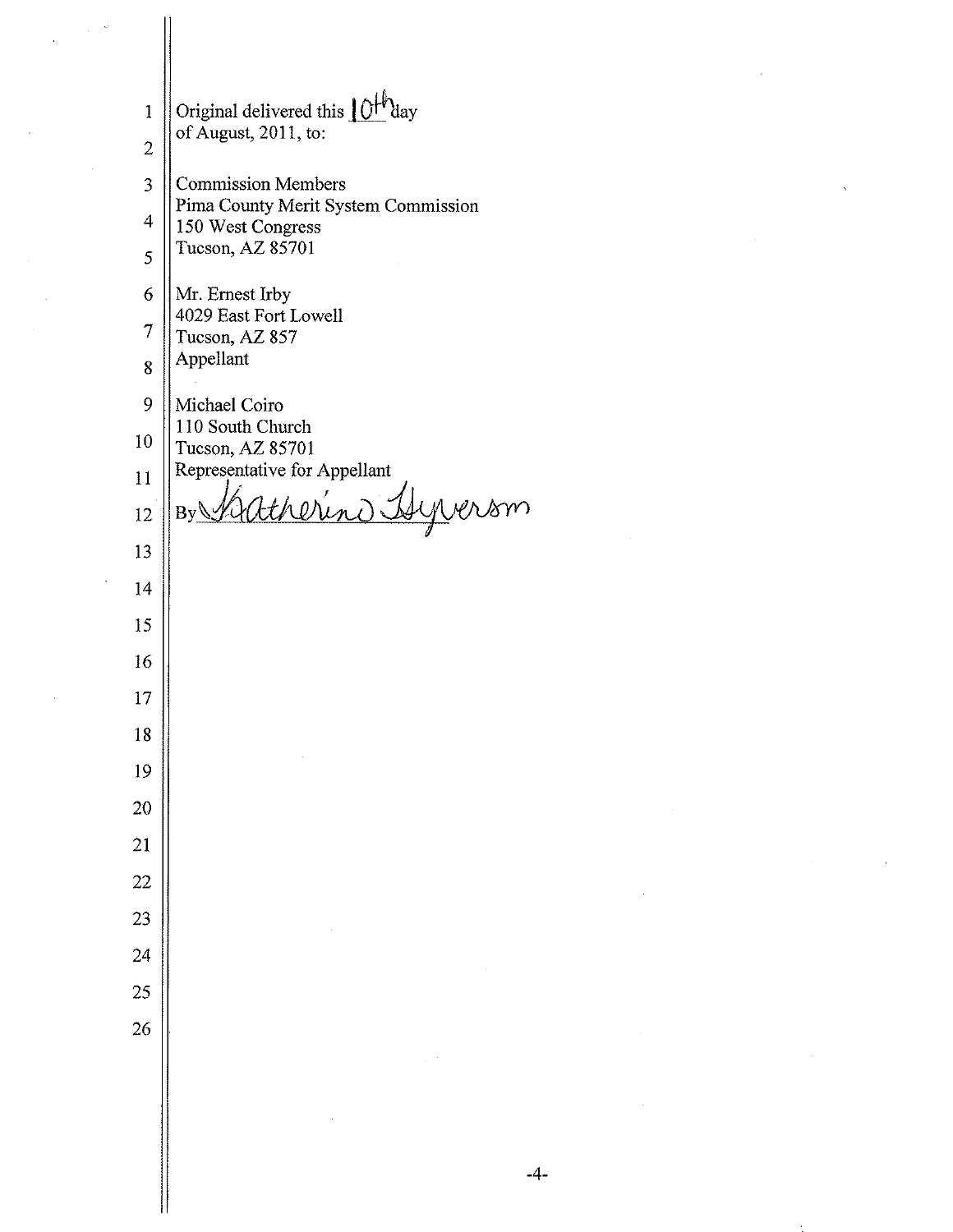Original delivered this  $\left|\bigcup_{k=1}^{n} A_k\right|$  of August, 2011, to:  $\mathbf{1}$  $\overline{2}$  $\overline{3}$ **Commission Members** Pima County Merit System Commission  $\overline{4}$ 150 West Congress Tucson, AZ 85701 5 Mr. Ernest Irby 6 4029 East Fort Lowell  $\overline{7}$ Tucson, AZ 857 Appellant 8 9 Michael Coiro 110 South Church 10 Tucson, AZ 85701 Representative for Appellant 11 Typersm By 12 13 14 15 16 17 18 19 20 21 22 23 24 25 26

 $-4-$